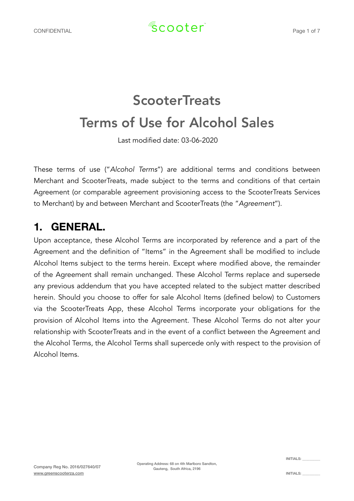# **ScooterTreats** Terms of Use for Alcohol Sales

Last modified date: 03-06-2020

These terms of use ("*Alcohol Terms*") are additional terms and conditions between Merchant and ScooterTreats, made subject to the terms and conditions of that certain Agreement (or comparable agreement provisioning access to the ScooterTreats Services to Merchant) by and between Merchant and ScooterTreats (the "*Agreement*").

## **1. GENERAL.**

Upon acceptance, these Alcohol Terms are incorporated by reference and a part of the Agreement and the definition of "Items" in the Agreement shall be modified to include Alcohol Items subject to the terms herein. Except where modified above, the remainder of the Agreement shall remain unchanged. These Alcohol Terms replace and supersede any previous addendum that you have accepted related to the subject matter described herein. Should you choose to offer for sale Alcohol Items (defined below) to Customers via the ScooterTreats App, these Alcohol Terms incorporate your obligations for the provision of Alcohol Items into the Agreement. These Alcohol Terms do not alter your relationship with ScooterTreats and in the event of a conflict between the Agreement and the Alcohol Terms, the Alcohol Terms shall supercede only with respect to the provision of Alcohol Items.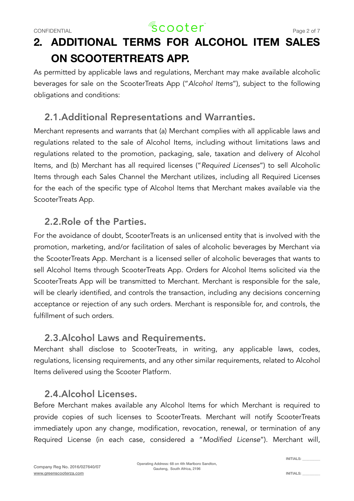## CONFIDENTIAL  $\sqrt{2}$  COOter<sup>"</sup>

# **2. ADDITIONAL TERMS FOR ALCOHOL ITEM SALES ON SCOOTERTREATS APP.**

As permitted by applicable laws and regulations, Merchant may make available alcoholic beverages for sale on the ScooterTreats App ("*Alcohol Items*"), subject to the following obligations and conditions:

## 2.1.Additional Representations and Warranties.

Merchant represents and warrants that (a) Merchant complies with all applicable laws and regulations related to the sale of Alcohol Items, including without limitations laws and regulations related to the promotion, packaging, sale, taxation and delivery of Alcohol Items, and (b) Merchant has all required licenses ("*Required Licenses*") to sell Alcoholic Items through each Sales Channel the Merchant utilizes, including all Required Licenses for the each of the specific type of Alcohol Items that Merchant makes available via the ScooterTreats App.

## 2.2.Role of the Parties.

For the avoidance of doubt, ScooterTreats is an unlicensed entity that is involved with the promotion, marketing, and/or facilitation of sales of alcoholic beverages by Merchant via the ScooterTreats App. Merchant is a licensed seller of alcoholic beverages that wants to sell Alcohol Items through ScooterTreats App. Orders for Alcohol Items solicited via the ScooterTreats App will be transmitted to Merchant. Merchant is responsible for the sale, will be clearly identified, and controls the transaction, including any decisions concerning acceptance or rejection of any such orders. Merchant is responsible for, and controls, the fulfillment of such orders.

### 2.3.Alcohol Laws and Requirements.

Merchant shall disclose to ScooterTreats, in writing, any applicable laws, codes, regulations, licensing requirements, and any other similar requirements, related to Alcohol Items delivered using the Scooter Platform.

## 2.4.Alcohol Licenses.

Before Merchant makes available any Alcohol Items for which Merchant is required to provide copies of such licenses to ScooterTreats. Merchant will notify ScooterTreats immediately upon any change, modification, revocation, renewal, or termination of any Required License (in each case, considered a "*Modified License*"). Merchant will,

INITIALS: \_\_\_\_\_\_\_\_\_\_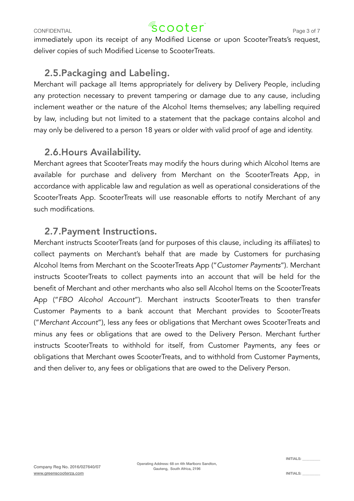## CONFIDENTIAL  $\sqrt{2}$  COOter<sup>"</sup> Page 3 of 7

immediately upon its receipt of any Modified License or upon ScooterTreats's request, deliver copies of such Modified License to ScooterTreats.

## 2.5.Packaging and Labeling.

Merchant will package all Items appropriately for delivery by Delivery People, including any protection necessary to prevent tampering or damage due to any cause, including inclement weather or the nature of the Alcohol Items themselves; any labelling required by law, including but not limited to a statement that the package contains alcohol and may only be delivered to a person 18 years or older with valid proof of age and identity.

## 2.6.Hours Availability.

Merchant agrees that ScooterTreats may modify the hours during which Alcohol Items are available for purchase and delivery from Merchant on the ScooterTreats App, in accordance with applicable law and regulation as well as operational considerations of the ScooterTreats App. ScooterTreats will use reasonable efforts to notify Merchant of any such modifications.

### 2.7.Payment Instructions.

Merchant instructs ScooterTreats (and for purposes of this clause, including its affiliates) to collect payments on Merchant's behalf that are made by Customers for purchasing Alcohol Items from Merchant on the ScooterTreats App ("*Customer Payments*"). Merchant instructs ScooterTreats to collect payments into an account that will be held for the benefit of Merchant and other merchants who also sell Alcohol Items on the ScooterTreats App ("*FBO Alcohol Account*"). Merchant instructs ScooterTreats to then transfer Customer Payments to a bank account that Merchant provides to ScooterTreats ("*Merchant Account*"), less any fees or obligations that Merchant owes ScooterTreats and minus any fees or obligations that are owed to the Delivery Person. Merchant further instructs ScooterTreats to withhold for itself, from Customer Payments, any fees or obligations that Merchant owes ScooterTreats, and to withhold from Customer Payments, and then deliver to, any fees or obligations that are owed to the Delivery Person.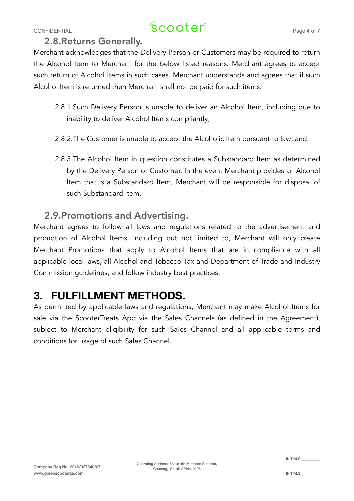# CONFIDENTIAL  $\sqrt{2}$  COOter<sup>"</sup>

#### 2.8.Returns Generally.

Merchant acknowledges that the Delivery Person or Customers may be required to return the Alcohol Item to Merchant for the below listed reasons. Merchant agrees to accept such return of Alcohol Items in such cases. Merchant understands and agrees that if such Alcohol Item is returned then Merchant shall not be paid for such items.

- 2.8.1.Such Delivery Person is unable to deliver an Alcohol Item, including due to inability to deliver Alcohol Items compliantly;
- 2.8.2.The Customer is unable to accept the Alcoholic Item pursuant to law; and
- 2.8.3.The Alcohol Item in question constitutes a Substandard Item as determined by the Delivery Person or Customer. In the event Merchant provides an Alcohol Item that is a Substandard Item, Merchant will be responsible for disposal of such Substandard Item.

### 2.9.Promotions and Advertising.

Merchant agrees to follow all laws and regulations related to the advertisement and promotion of Alcohol Items, including but not limited to, Merchant will only create Merchant Promotions that apply to Alcohol Items that are in compliance with all applicable local laws, all Alcohol and Tobacco Tax and Department of Trade and Industry Commission guidelines, and follow industry best practices.

## **3. FULFILLMENT METHODS.**

As permitted by applicable laws and regulations, Merchant may make Alcohol Items for sale via the ScooterTreats App via the Sales Channels (as defined in the Agreement), subject to Merchant eligibility for such Sales Channel and all applicable terms and conditions for usage of such Sales Channel.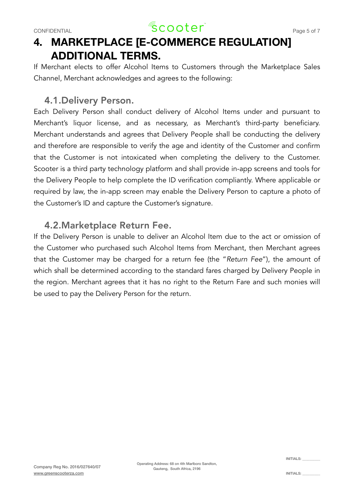

## **4. MARKETPLACE [E-COMMERCE REGULATION] ADDITIONAL TERMS.**

If Merchant elects to offer Alcohol Items to Customers through the Marketplace Sales Channel, Merchant acknowledges and agrees to the following:

#### 4.1.Delivery Person.

Each Delivery Person shall conduct delivery of Alcohol Items under and pursuant to Merchant's liquor license, and as necessary, as Merchant's third-party beneficiary. Merchant understands and agrees that Delivery People shall be conducting the delivery and therefore are responsible to verify the age and identity of the Customer and confirm that the Customer is not intoxicated when completing the delivery to the Customer. Scooter is a third party technology platform and shall provide in-app screens and tools for the Delivery People to help complete the ID verification compliantly. Where applicable or required by law, the in-app screen may enable the Delivery Person to capture a photo of the Customer's ID and capture the Customer's signature.

#### 4.2.Marketplace Return Fee.

If the Delivery Person is unable to deliver an Alcohol Item due to the act or omission of the Customer who purchased such Alcohol Items from Merchant, then Merchant agrees that the Customer may be charged for a return fee (the "*Return Fee*"), the amount of which shall be determined according to the standard fares charged by Delivery People in the region. Merchant agrees that it has no right to the Return Fare and such monies will be used to pay the Delivery Person for the return.

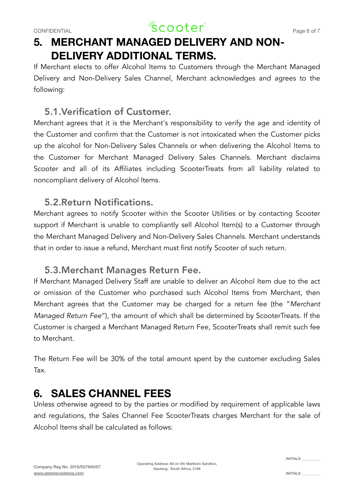## CONFIDENTIAL  $\sqrt{2}$  COOTer $\sqrt{2}$  Page 6 of 7

## **5. MERCHANT MANAGED DELIVERY AND NON-DELIVERY ADDITIONAL TERMS.**

If Merchant elects to offer Alcohol Items to Customers through the Merchant Managed Delivery and Non-Delivery Sales Channel, Merchant acknowledges and agrees to the following:

## 5.1.Verification of Customer.

Merchant agrees that it is the Merchant's responsibility to verify the age and identity of the Customer and confirm that the Customer is not intoxicated when the Customer picks up the alcohol for Non-Delivery Sales Channels or when delivering the Alcohol Items to the Customer for Merchant Managed Delivery Sales Channels. Merchant disclaims Scooter and all of its Affiliates including ScooterTreats from all liability related to noncompliant delivery of Alcohol Items.

### 5.2.Return Notifications.

Merchant agrees to notify Scooter within the Scooter Utilities or by contacting Scooter support if Merchant is unable to compliantly sell Alcohol Item(s) to a Customer through the Merchant Managed Delivery and Non-Delivery Sales Channels. Merchant understands that in order to issue a refund, Merchant must first notify Scooter of such return.

### 5.3.Merchant Manages Return Fee.

If Merchant Managed Delivery Staff are unable to deliver an Alcohol Item due to the act or omission of the Customer who purchased such Alcohol Items from Merchant, then Merchant agrees that the Customer may be charged for a return fee (the "*Merchant Managed Return Fee*"), the amount of which shall be determined by ScooterTreats. If the Customer is charged a Merchant Managed Return Fee, ScooterTreats shall remit such fee to Merchant.

The Return Fee will be 30% of the total amount spent by the customer excluding Sales Tax.

## **6. SALES CHANNEL FEES**

Unless otherwise agreed to by the parties or modified by requirement of applicable laws and regulations, the Sales Channel Fee ScooterTreats charges Merchant for the sale of Alcohol Items shall be calculated as follows:

Operating Address: 68 on 4th Marlboro Sandton, Gauteng, South Africa, 2196

INITIALS: \_\_\_\_\_\_\_\_\_\_